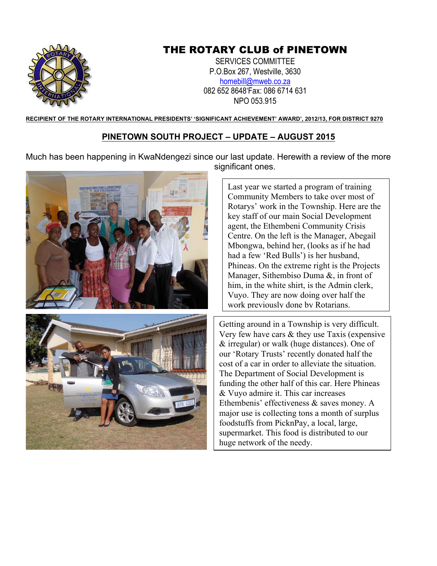

## THE ROTARY CLUB of PINETOWN

SERVICES COMMITTEE P.O.Box 267, Westville, 3630 homebill@mweb.co.za 082 652 8648'Fax: 086 6714 631 NPO 053.915

**RECIPIENT OF THE ROTARY INTERNATIONAL PRESIDENTS' 'SIGNIFICANT ACHIEVEMENT' AWARD', 2012/13, FOR DISTRICT 9270**

## **PINETOWN SOUTH PROJECT – UPDATE – AUGUST 2015**

Much has been happening in KwaNdengezi since our last update. Herewith a review of the more significant ones.





Last year we started a program of training Community Members to take over most of Rotarys' work in the Township. Here are the key staff of our main Social Development agent, the Ethembeni Community Crisis Centre. On the left is the Manager, Abegail Mbongwa, behind her, (looks as if he had had a few 'Red Bulls') is her husband, Phineas. On the extreme right is the Projects Manager, Sithembiso Duma &, in front of him, in the white shirt, is the Admin clerk, Vuyo. They are now doing over half the work previously done by Rotarians.

Getting around in a Township is very difficult. Very few have cars & they use Taxis (expensive & irregular) or walk (huge distances). One of our 'Rotary Trusts' recently donated half the cost of a car in order to alleviate the situation. The Department of Social Development is funding the other half of this car. Here Phineas & Vuyo admire it. This car increases Ethembenis' effectiveness & saves money. A major use is collecting tons a month of surplus foodstuffs from PicknPay, a local, large, supermarket. This food is distributed to our huge network of the needy.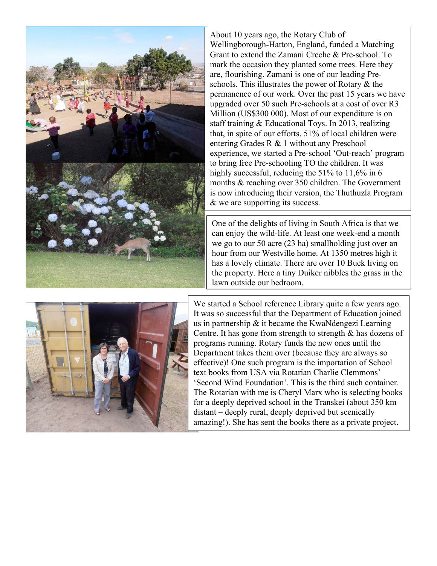

About 10 years ago, the Rotary Club of Wellingborough-Hatton, England, funded a Matching Grant to extend the Zamani Creche & Pre-school. To mark the occasion they planted some trees. Here they are, flourishing. Zamani is one of our leading Preschools. This illustrates the power of Rotary & the permanence of our work. Over the past 15 years we have upgraded over 50 such Pre-schools at a cost of over R3 Million (US\$300 000). Most of our expenditure is on staff training & Educational Toys. In 2013, realizing that, in spite of our efforts, 51% of local children were entering Grades R & 1 without any Preschool experience, we started a Pre-school 'Out-reach' program to bring free Pre-schooling TO the children. It was highly successful, reducing the 51% to 11,6% in 6 months & reaching over 350 children. The Government is now introducing their version, the Thuthuzla Program & we are supporting its success.

One of the delights of living in South Africa is that we can enjoy the wild-life. At least one week-end a month we go to our 50 acre (23 ha) smallholding just over an hour from our Westville home. At 1350 metres high it has a lovely climate. There are over 10 Buck living on the property. Here a tiny Duiker nibbles the grass in the lawn outside our bedroom.



We started a School reference Library quite a few years ago. It was so successful that the Department of Education joined us in partnership & it became the KwaNdengezi Learning Centre. It has gone from strength to strength  $\&$  has dozens of programs running. Rotary funds the new ones until the Department takes them over (because they are always so effective)! One such program is the importation of School text books from USA via Rotarian Charlie Clemmons' 'Second Wind Foundation'. This is the third such container. The Rotarian with me is Cheryl Marx who is selecting books for a deeply deprived school in the Transkei (about 350 km distant – deeply rural, deeply deprived but scenically amazing!). She has sent the books there as a private project.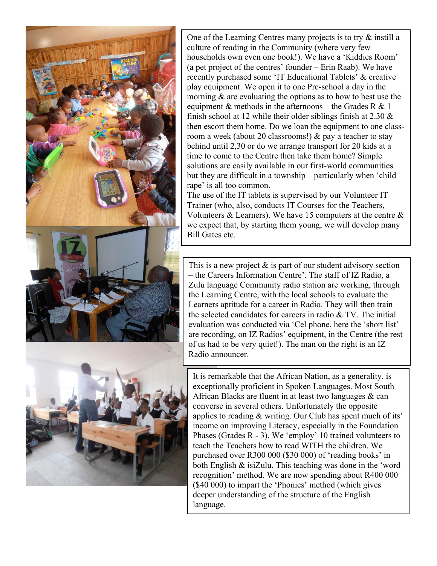

One of the Learning Centres many projects is to try & instill a culture of reading in the Community (where very few households own even one book!). We have a 'Kiddies Room' (a pet project of the centres' founder – Erin Raab). We have recently purchased some 'IT Educational Tablets' & creative play equipment. We open it to one Pre-school a day in the morning & are evaluating the options as to how to best use the equipment  $\&$  methods in the afternoons – the Grades R  $\&$  1 finish school at 12 while their older siblings finish at  $2.30 \&$ then escort them home. Do we loan the equipment to one classroom a week (about 20 classrooms!) & pay a teacher to stay behind until 2,30 or do we arrange transport for 20 kids at a time to come to the Centre then take them home? Simple solutions are easily available in our first-world communities but they are difficult in a township – particularly when 'child rape' is all too common.

The use of the IT tablets is supervised by our Volunteer IT Trainer (who, also, conducts IT Courses for the Teachers, Volunteers  $&$  Learners). We have 15 computers at the centre  $&$ we expect that, by starting them young, we will develop many Bill Gates etc.

This is a new project  $\&$  is part of our student advisory section – the Careers Information Centre'. The staff of IZ Radio, a Zulu language Community radio station are working, through the Learning Centre, with the local schools to evaluate the Learners aptitude for a career in Radio. They will then train the selected candidates for careers in radio & TV. The initial evaluation was conducted via 'Cel phone, here the 'short list' are recording, on IZ Radios' equipment, in the Centre (the rest of us had to be very quiet!). The man on the right is an IZ Radio announcer.

It is remarkable that the African Nation, as a generality, is exceptionally proficient in Spoken Languages. Most South African Blacks are fluent in at least two languages  $\&$  can converse in several others. Unfortunately the opposite applies to reading & writing. Our Club has spent much of its' income on improving Literacy, especially in the Foundation Phases (Grades R - 3). We 'employ' 10 trained volunteers to teach the Teachers how to read WITH the children. We purchased over R300 000 (\$30 000) of 'reading books' in both English & isiZulu. This teaching was done in the 'word recognition' method. We are now spending about R400 000 (\$40 000) to impart the 'Phonics' method (which gives deeper understanding of the structure of the English language.